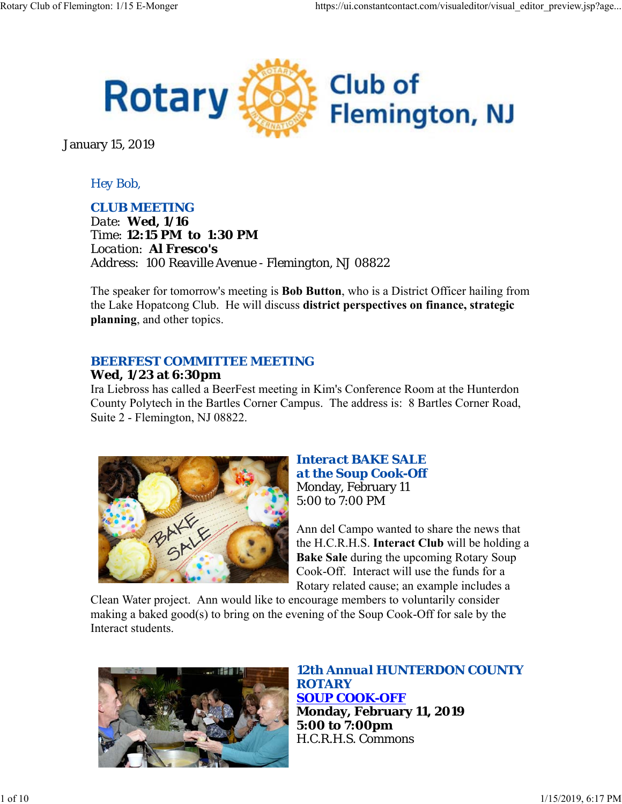

January 15, 2019

# *Hey Bob,*

### *CLUB MEETING*

*Date: Wed, 1/16 Time: 12:15 PM to 1:30 PM Location: Al Fresco's Address: 100 Reaville Avenue - Flemington, NJ 08822*

The speaker for tomorrow's meeting is **Bob Button**, who is a District Officer hailing from the Lake Hopatcong Club. He will discuss **district perspectives on finance, strategic planning**, and other topics.

## *BEERFEST COMMITTEE MEETING*

## **Wed, 1/23 at 6:30pm**

Ira Liebross has called a BeerFest meeting in Kim's Conference Room at the Hunterdon County Polytech in the Bartles Corner Campus. The address is: 8 Bartles Corner Road, Suite 2 - Flemington, NJ 08822.



#### *Interact BAKE SALE at the Soup Cook-Off* Monday, February 11 5:00 to 7:00 PM

Ann del Campo wanted to share the news that the H.C.R.H.S. **Interact Club** will be holding a **Bake Sale** during the upcoming Rotary Soup Cook-Off. Interact will use the funds for a Rotary related cause; an example includes a

Clean Water project. Ann would like to encourage members to voluntarily consider making a baked good(s) to bring on the evening of the Soup Cook-Off for sale by the Interact students.



*12th Annual HUNTERDON COUNTY ROTARY SOUP COOK-OFF* **Monday, February 11, 2019 5:00 to 7:00pm** H.C.R.H.S. Commons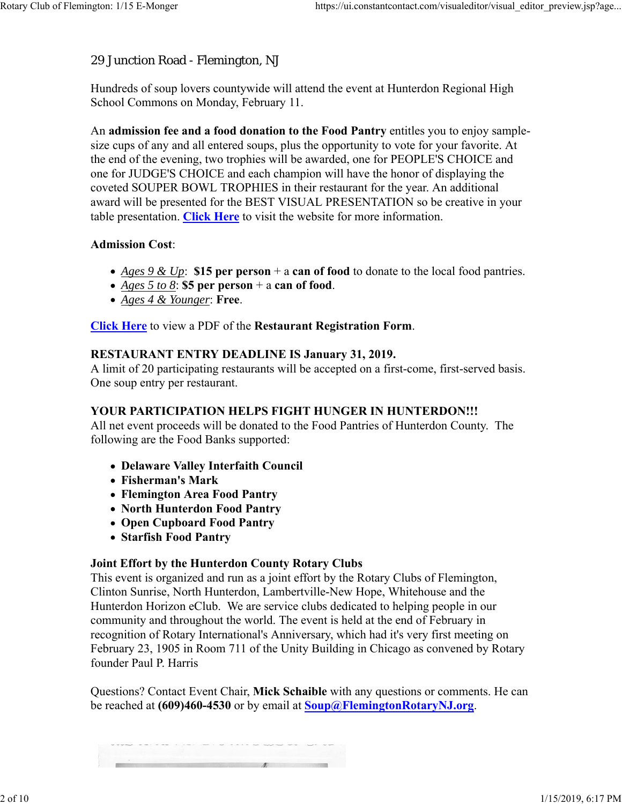## 29 Junction Road - Flemington, NJ

Hundreds of soup lovers countywide will attend the event at Hunterdon Regional High School Commons on Monday, February 11.

An **admission fee and a food donation to the Food Pantry** entitles you to enjoy samplesize cups of any and all entered soups, plus the opportunity to vote for your favorite. At the end of the evening, two trophies will be awarded, one for PEOPLE'S CHOICE and one for JUDGE'S CHOICE and each champion will have the honor of displaying the coveted SOUPER BOWL TROPHIES in their restaurant for the year. An additional award will be presented for the BEST VISUAL PRESENTATION so be creative in your table presentation. **Click Here** to visit the website for more information.

### **Admission Cost**:

- *Ages 9 & Up*: **\$15 per person** + a **can of food** to donate to the local food pantries.
- *Ages 5 to 8*: **\$5 per person** + a **can of food**.
- *Ages 4 & Younger*: **Free**.

**Click Here** to view a PDF of the **Restaurant Registration Form**.

#### **RESTAURANT ENTRY DEADLINE IS January 31, 2019.**

A limit of 20 participating restaurants will be accepted on a first-come, first-served basis. One soup entry per restaurant.

#### **YOUR PARTICIPATION HELPS FIGHT HUNGER IN HUNTERDON!!!**

All net event proceeds will be donated to the Food Pantries of Hunterdon County. The following are the Food Banks supported:

- **Delaware Valley Interfaith Council**
- **Fisherman's Mark**
- **Flemington Area Food Pantry**
- **North Hunterdon Food Pantry**
- **Open Cupboard Food Pantry**
- **Starfish Food Pantry**

#### **Joint Effort by the Hunterdon County Rotary Clubs**

This event is organized and run as a joint effort by the Rotary Clubs of Flemington, Clinton Sunrise, North Hunterdon, Lambertville-New Hope, Whitehouse and the Hunterdon Horizon eClub. We are service clubs dedicated to helping people in our community and throughout the world. The event is held at the end of February in recognition of Rotary International's Anniversary, which had it's very first meeting on February 23, 1905 in Room 711 of the Unity Building in Chicago as convened by Rotary founder Paul P. Harris

Questions? Contact Event Chair, **Mick Schaible** with any questions or comments. He can be reached at **(609)460-4530** or by email at **Soup@FlemingtonRotaryNJ.org**.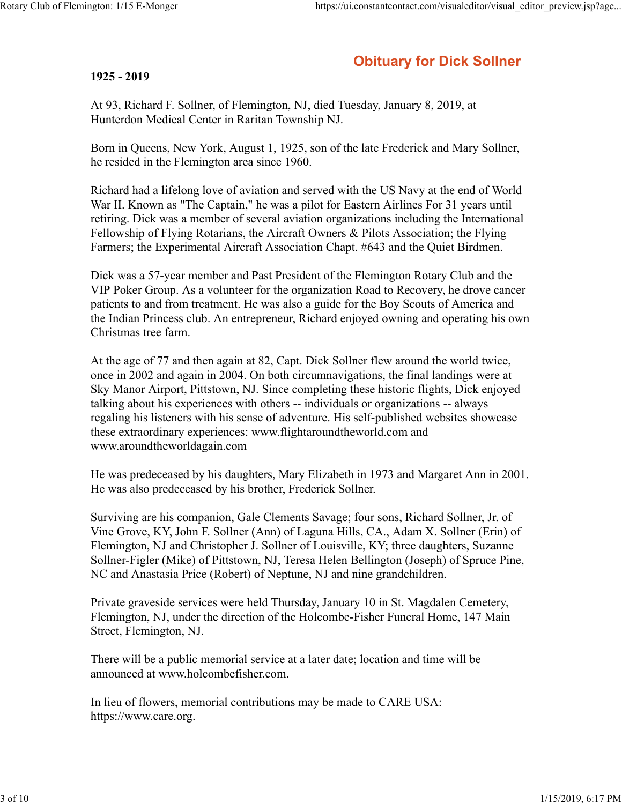# **Obituary for Dick Sollner**

#### **1925 - 2019**

At 93, Richard F. Sollner, of Flemington, NJ, died Tuesday, January 8, 2019, at Hunterdon Medical Center in Raritan Township NJ.

Born in Queens, New York, August 1, 1925, son of the late Frederick and Mary Sollner, he resided in the Flemington area since 1960.

Richard had a lifelong love of aviation and served with the US Navy at the end of World War II. Known as "The Captain," he was a pilot for Eastern Airlines For 31 years until retiring. Dick was a member of several aviation organizations including the International Fellowship of Flying Rotarians, the Aircraft Owners & Pilots Association; the Flying Farmers; the Experimental Aircraft Association Chapt. #643 and the Quiet Birdmen.

Dick was a 57-year member and Past President of the Flemington Rotary Club and the VIP Poker Group. As a volunteer for the organization Road to Recovery, he drove cancer patients to and from treatment. He was also a guide for the Boy Scouts of America and the Indian Princess club. An entrepreneur, Richard enjoyed owning and operating his own Christmas tree farm.

At the age of 77 and then again at 82, Capt. Dick Sollner flew around the world twice, once in 2002 and again in 2004. On both circumnavigations, the final landings were at Sky Manor Airport, Pittstown, NJ. Since completing these historic flights, Dick enjoyed talking about his experiences with others -- individuals or organizations -- always regaling his listeners with his sense of adventure. His self-published websites showcase these extraordinary experiences: www.flightaroundtheworld.com and www.aroundtheworldagain.com

He was predeceased by his daughters, Mary Elizabeth in 1973 and Margaret Ann in 2001. He was also predeceased by his brother, Frederick Sollner.

Surviving are his companion, Gale Clements Savage; four sons, Richard Sollner, Jr. of Vine Grove, KY, John F. Sollner (Ann) of Laguna Hills, CA., Adam X. Sollner (Erin) of Flemington, NJ and Christopher J. Sollner of Louisville, KY; three daughters, Suzanne Sollner-Figler (Mike) of Pittstown, NJ, Teresa Helen Bellington (Joseph) of Spruce Pine, NC and Anastasia Price (Robert) of Neptune, NJ and nine grandchildren.

Private graveside services were held Thursday, January 10 in St. Magdalen Cemetery, Flemington, NJ, under the direction of the Holcombe-Fisher Funeral Home, 147 Main Street, Flemington, NJ.

There will be a public memorial service at a later date; location and time will be announced at www.holcombefisher.com.

In lieu of flowers, memorial contributions may be made to CARE USA: https://www.care.org.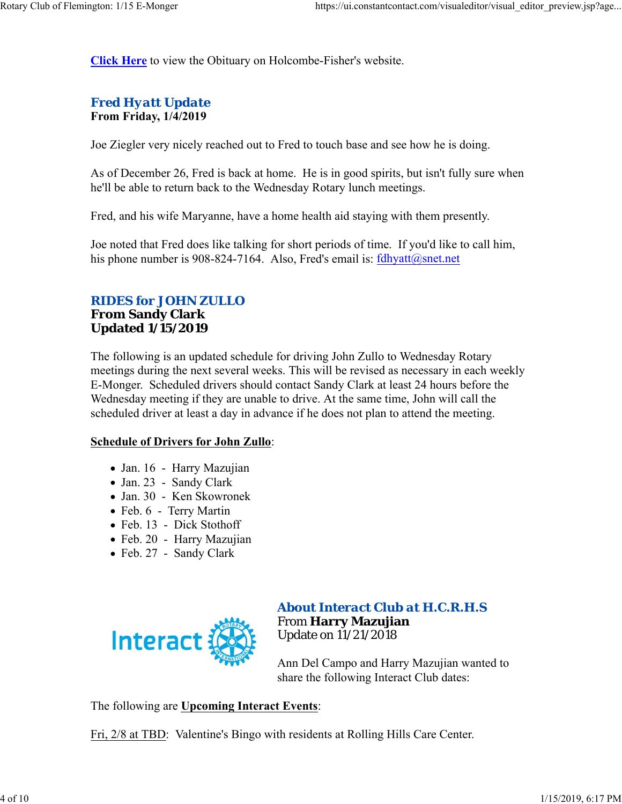**Click Here** to view the Obituary on Holcombe-Fisher's website.

# *Fred Hyatt Update* **From Friday, 1/4/2019**

Joe Ziegler very nicely reached out to Fred to touch base and see how he is doing.

As of December 26, Fred is back at home. He is in good spirits, but isn't fully sure when he'll be able to return back to the Wednesday Rotary lunch meetings.

Fred, and his wife Maryanne, have a home health aid staying with them presently.

Joe noted that Fred does like talking for short periods of time. If you'd like to call him, his phone number is 908-824-7164. Also, Fred's email is:  $fdhyst@snet.net$ 

# *RIDES for JOHN ZULLO* **From Sandy Clark Updated 1/15/2019**

The following is an updated schedule for driving John Zullo to Wednesday Rotary meetings during the next several weeks. This will be revised as necessary in each weekly E-Monger. Scheduled drivers should contact Sandy Clark at least 24 hours before the Wednesday meeting if they are unable to drive. At the same time, John will call the scheduled driver at least a day in advance if he does not plan to attend the meeting.

#### **Schedule of Drivers for John Zullo**:

- Jan. 16 Harry Mazujian
- Jan. 23 Sandy Clark
- Jan. 30 Ken Skowronek
- Feb. 6 Terry Martin
- Feb. 13 Dick Stothoff
- Feb. 20 Harry Mazujian
- Feb. 27 Sandy Clark



### *About Interact Club at H.C.R.H.S* From **Harry Mazujian** Update on 11/21/2018

Ann Del Campo and Harry Mazujian wanted to share the following Interact Club dates:

The following are **Upcoming Interact Events**:

Fri, 2/8 at TBD: Valentine's Bingo with residents at Rolling Hills Care Center.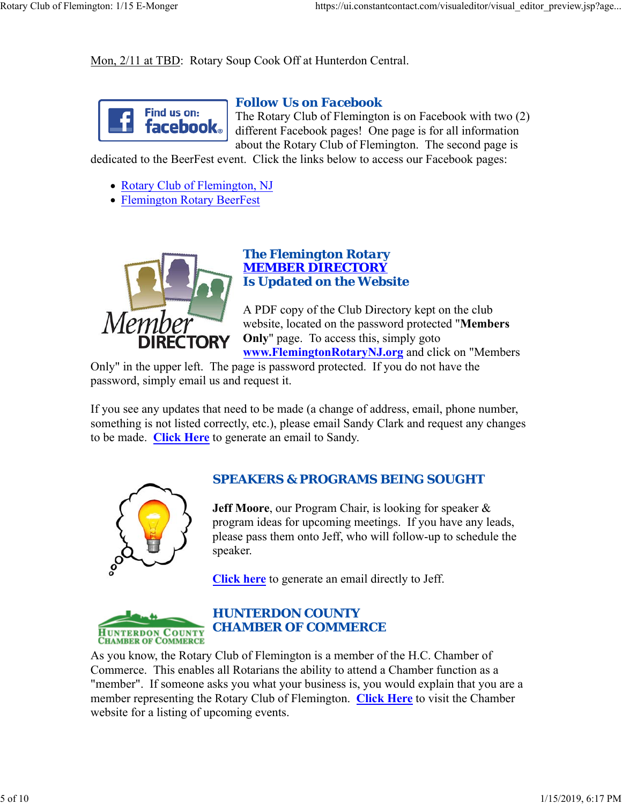Mon, 2/11 at TBD: Rotary Soup Cook Off at Hunterdon Central.



#### *Follow Us on Facebook*

The Rotary Club of Flemington is on Facebook with two (2) different Facebook pages! One page is for all information about the Rotary Club of Flemington. The second page is

dedicated to the BeerFest event. Click the links below to access our Facebook pages:

- Rotary Club of Flemington, NJ
- Flemington Rotary BeerFest



# *The Flemington Rotary MEMBER DIRECTORY Is Updated on the Website*

A PDF copy of the Club Directory kept on the club website, located on the password protected "**Members Only**" page. To access this, simply goto **www.FlemingtonRotaryNJ.org** and click on "Members

Only" in the upper left. The page is password protected. If you do not have the password, simply email us and request it.

If you see any updates that need to be made (a change of address, email, phone number, something is not listed correctly, etc.), please email Sandy Clark and request any changes to be made. **Click Here** to generate an email to Sandy.



## *SPEAKERS & PROGRAMS BEING SOUGHT*

**Jeff Moore**, our Program Chair, is looking for speaker & program ideas for upcoming meetings. If you have any leads, please pass them onto Jeff, who will follow-up to schedule the speaker.

**Click here** to generate an email directly to Jeff.



As you know, the Rotary Club of Flemington is a member of the H.C. Chamber of Commerce. This enables all Rotarians the ability to attend a Chamber function as a "member". If someone asks you what your business is, you would explain that you are a member representing the Rotary Club of Flemington. **Click Here** to visit the Chamber website for a listing of upcoming events.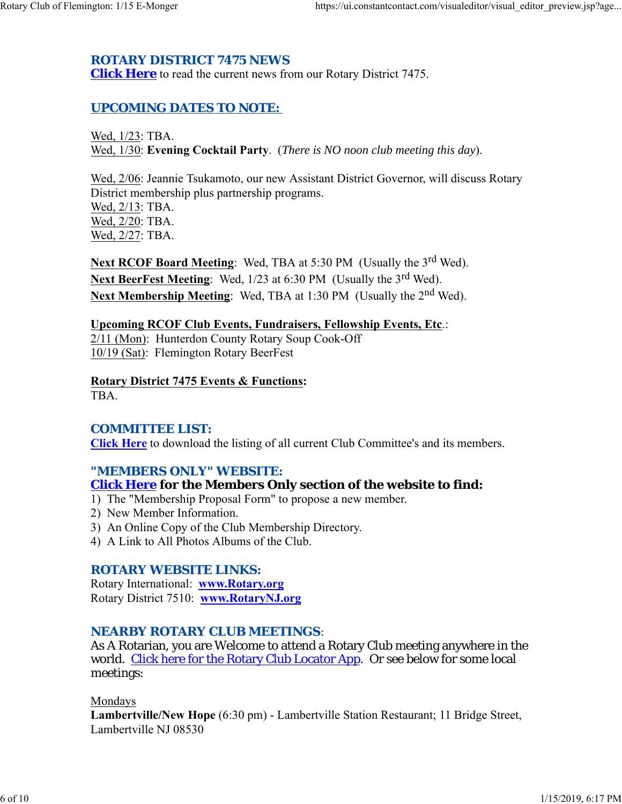# *ROTARY DISTRICT 7475 NEWS*

**Click Here** to read the current news from our Rotary District 7475.

# *UPCOMING DATES TO NOTE:*

Wed, 1/23: TBA. Wed, 1/30: **Evening Cocktail Party**. (*There is NO noon club meeting this day*).

Wed, 2/06: Jeannie Tsukamoto, our new Assistant District Governor, will discuss Rotary District membership plus partnership programs. Wed, 2/13: TBA. Wed, 2/20: TBA. Wed, 2/27: TBA.

**Next RCOF Board Meeting:** Wed, TBA at 5:30 PM (Usually the 3<sup>rd</sup> Wed). Next BeerFest Meeting: Wed, 1/23 at 6:30 PM (Usually the 3<sup>rd</sup> Wed). **Next Membership Meeting:** Wed, TBA at 1:30 PM (Usually the 2<sup>nd</sup> Wed).

# **Upcoming RCOF Club Events, Fundraisers, Fellowship Events, Etc**.:

2/11 (Mon): Hunterdon County Rotary Soup Cook-Off 10/19 (Sat): Flemington Rotary BeerFest

# **Rotary District 7475 Events & Functions:**

TBA.

## *COMMITTEE LIST:*

**Click Here** to download the listing of all current Club Committee's and its members.

#### *"MEMBERS ONLY" WEBSITE:*

### **Click Here for the Members Only section of the website to find:**

- 1) The "Membership Proposal Form" to propose a new member.
- 2) New Member Information.
- 3) An Online Copy of the Club Membership Directory.
- 4) A Link to All Photos Albums of the Club.

#### *ROTARY WEBSITE LINKS:*

Rotary International: **www.Rotary.org** Rotary District 7510: **www.RotaryNJ.org**

### *NEARBY ROTARY CLUB MEETINGS:*

As A Rotarian, you are Welcome to attend a Rotary Club meeting anywhere in the world. Click here for the Rotary Club Locator App. Or see below for some local meetings:

#### Mondays

**Lambertville/New Hope** (6:30 pm) - Lambertville Station Restaurant; 11 Bridge Street, Lambertville NJ 08530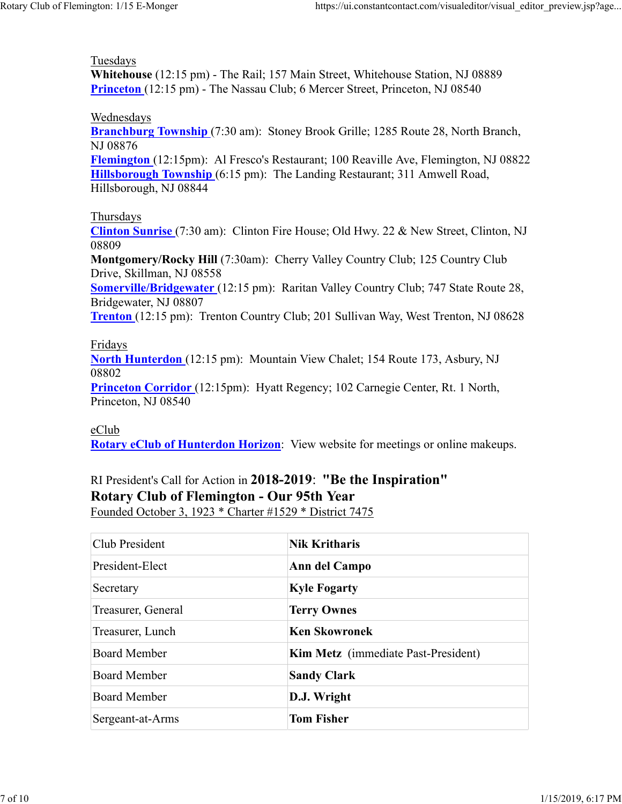### Tuesdays

**Whitehouse** (12:15 pm) - The Rail; 157 Main Street, Whitehouse Station, NJ 08889 **Princeton** (12:15 pm) - The Nassau Club; 6 Mercer Street, Princeton, NJ 08540

#### Wednesdays

**Branchburg Township** (7:30 am): Stoney Brook Grille; 1285 Route 28, North Branch, NJ 08876

**Flemington** (12:15pm): Al Fresco's Restaurant; 100 Reaville Ave, Flemington, NJ 08822 **Hillsborough Township** (6:15 pm): The Landing Restaurant; 311 Amwell Road, Hillsborough, NJ 08844

### Thursdays

**Clinton Sunrise** (7:30 am): Clinton Fire House; Old Hwy. 22 & New Street, Clinton, NJ 08809

**Montgomery/Rocky Hill** (7:30am): Cherry Valley Country Club; 125 Country Club Drive, Skillman, NJ 08558

**Somerville/Bridgewater** (12:15 pm): Raritan Valley Country Club; 747 State Route 28, Bridgewater, NJ 08807

**Trenton** (12:15 pm): Trenton Country Club; 201 Sullivan Way, West Trenton, NJ 08628

#### Fridays

**North Hunterdon** (12:15 pm): Mountain View Chalet; 154 Route 173, Asbury, NJ 08802

**Princeton Corridor** (12:15pm): Hyatt Regency; 102 Carnegie Center, Rt. 1 North, Princeton, NJ 08540

### eClub

**Rotary eClub of Hunterdon Horizon**: View website for meetings or online makeups.

# RI President's Call for Action in **2018-2019**: **"Be the Inspiration" Rotary Club of Flemington - Our 95th Year** Founded October 3, 1923 \* Charter #1529 \* District 7475

| Club President      | <b>Nik Kritharis</b>                       |  |
|---------------------|--------------------------------------------|--|
| President-Elect     | Ann del Campo                              |  |
| Secretary           | <b>Kyle Fogarty</b>                        |  |
| Treasurer, General  | <b>Terry Ownes</b>                         |  |
| Treasurer, Lunch    | <b>Ken Skowronek</b>                       |  |
| <b>Board Member</b> | <b>Kim Metz</b> (immediate Past-President) |  |
| <b>Board Member</b> | <b>Sandy Clark</b>                         |  |
| <b>Board Member</b> | D.J. Wright                                |  |
| Sergeant-at-Arms    | <b>Tom Fisher</b>                          |  |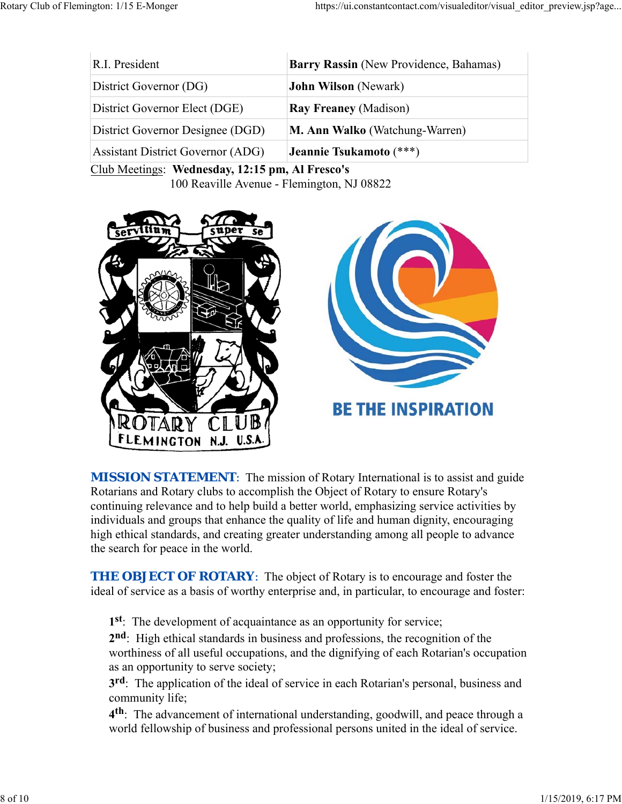| R.I. President                           | Barry Rassin (New Providence, Bahamas) |
|------------------------------------------|----------------------------------------|
| District Governor (DG)                   | <b>John Wilson</b> (Newark)            |
| District Governor Elect (DGE)            | <b>Ray Freaney (Madison)</b>           |
| District Governor Designee (DGD)         | <b>M. Ann Walko</b> (Watchung-Warren)  |
| <b>Assistant District Governor (ADG)</b> | Jeannie Tsukamoto (***)                |

Club Meetings: **Wednesday, 12:15 pm, Al Fresco's** 100 Reaville Avenue - Flemington, NJ 08822



**MISSION STATEMENT:** The mission of Rotary International is to assist and guide Rotarians and Rotary clubs to accomplish the Object of Rotary to ensure Rotary's continuing relevance and to help build a better world, emphasizing service activities by individuals and groups that enhance the quality of life and human dignity, encouraging high ethical standards, and creating greater understanding among all people to advance the search for peace in the world.

**THE OBJECT OF ROTARY:** The object of Rotary is to encourage and foster the ideal of service as a basis of worthy enterprise and, in particular, to encourage and foster:

**1st**: The development of acquaintance as an opportunity for service;

**2nd**: High ethical standards in business and professions, the recognition of the worthiness of all useful occupations, and the dignifying of each Rotarian's occupation as an opportunity to serve society;

**3rd**: The application of the ideal of service in each Rotarian's personal, business and community life;

**4th**: The advancement of international understanding, goodwill, and peace through a world fellowship of business and professional persons united in the ideal of service.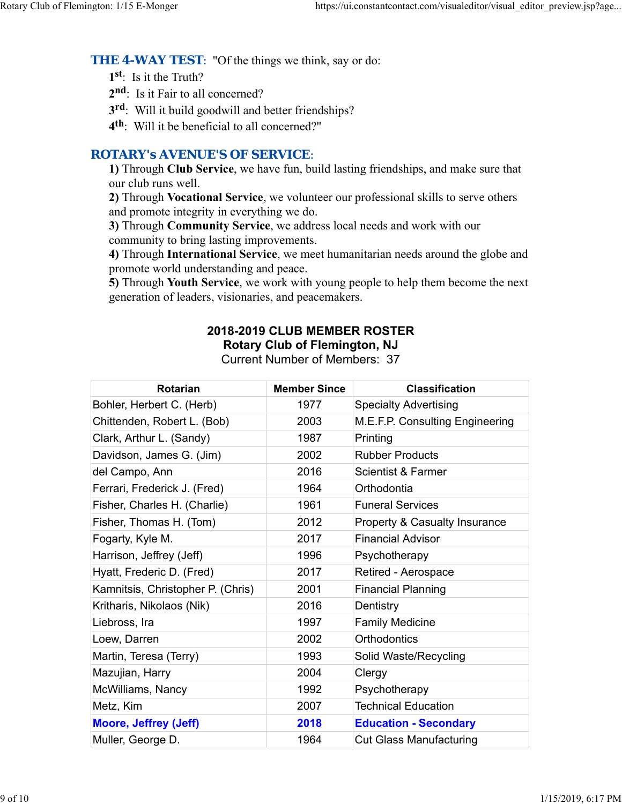**THE 4-WAY TEST:** "Of the things we think, say or do:

**1st**: Is it the Truth?

2<sup>nd</sup>: Is it Fair to all concerned?

**3rd**: Will it build goodwill and better friendships?

**4th**: Will it be beneficial to all concerned?"

# *ROTARY's AVENUE'S OF SERVICE*:

**1)** Through **Club Service**, we have fun, build lasting friendships, and make sure that our club runs well.

**2)** Through **Vocational Service**, we volunteer our professional skills to serve others and promote integrity in everything we do.

**3)** Through **Community Service**, we address local needs and work with our community to bring lasting improvements.

**4)** Through **International Service**, we meet humanitarian needs around the globe and promote world understanding and peace.

**5)** Through **Youth Service**, we work with young people to help them become the next generation of leaders, visionaries, and peacemakers.

# **2018-2019 CLUB MEMBER ROSTER Rotary Club of Flemington, NJ**

Current Number of Members: 37

| <b>Rotarian</b>                   | <b>Member Since</b> | <b>Classification</b>                    |
|-----------------------------------|---------------------|------------------------------------------|
| Bohler, Herbert C. (Herb)         | 1977                | <b>Specialty Advertising</b>             |
| Chittenden, Robert L. (Bob)       | 2003                | M.E.F.P. Consulting Engineering          |
| Clark, Arthur L. (Sandy)          | 1987                | Printing                                 |
| Davidson, James G. (Jim)          | 2002                | <b>Rubber Products</b>                   |
| del Campo, Ann                    | 2016                | <b>Scientist &amp; Farmer</b>            |
| Ferrari, Frederick J. (Fred)      | 1964                | Orthodontia                              |
| Fisher, Charles H. (Charlie)      | 1961                | <b>Funeral Services</b>                  |
| Fisher, Thomas H. (Tom)           | 2012                | <b>Property &amp; Casualty Insurance</b> |
| Fogarty, Kyle M.                  | 2017                | <b>Financial Advisor</b>                 |
| Harrison, Jeffrey (Jeff)          | 1996                | Psychotherapy                            |
| Hyatt, Frederic D. (Fred)         | 2017                | Retired - Aerospace                      |
| Kamnitsis, Christopher P. (Chris) | 2001                | <b>Financial Planning</b>                |
| Kritharis, Nikolaos (Nik)         | 2016                | Dentistry                                |
| Liebross, Ira                     | 1997                | <b>Family Medicine</b>                   |
| Loew, Darren                      | 2002                | <b>Orthodontics</b>                      |
| Martin, Teresa (Terry)            | 1993                | Solid Waste/Recycling                    |
| Mazujian, Harry                   | 2004                | Clergy                                   |
| McWilliams, Nancy                 | 1992                | Psychotherapy                            |
| Metz, Kim                         | 2007                | <b>Technical Education</b>               |
| <b>Moore, Jeffrey (Jeff)</b>      | 2018                | <b>Education - Secondary</b>             |
| Muller, George D.                 | 1964                | <b>Cut Glass Manufacturing</b>           |